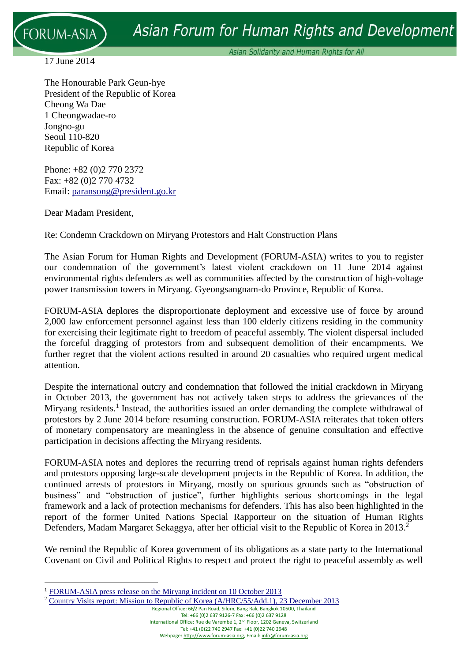

17 June 2014

Asian Solidarity and Human Rights for All

The Honourable Park Geun-hye President of the Republic of Korea Cheong Wa Dae 1 Cheongwadae-ro Jongno-gu Seoul 110-820 Republic of Korea

Phone: +82 (0)2 770 2372 Fax: +82 (0)2 770 4732 Email: [paransong@president.go.kr](mailto:paransong@president.go.kr)

Dear Madam President,

Re: Condemn Crackdown on Miryang Protestors and Halt Construction Plans

The Asian Forum for Human Rights and Development (FORUM-ASIA) writes to you to register our condemnation of the government's latest violent crackdown on 11 June 2014 against environmental rights defenders as well as communities affected by the construction of high-voltage power transmission towers in Miryang. Gyeongsangnam-do Province, Republic of Korea.

FORUM-ASIA deplores the disproportionate deployment and excessive use of force by around 2,000 law enforcement personnel against less than 100 elderly citizens residing in the community for exercising their legitimate right to freedom of peaceful assembly. The violent dispersal included the forceful dragging of protestors from and subsequent demolition of their encampments. We further regret that the violent actions resulted in around 20 casualties who required urgent medical attention.

Despite the international outcry and condemnation that followed the initial crackdown in Miryang in October 2013, the government has not actively taken steps to address the grievances of the Miryang residents.<sup>1</sup> Instead, the authorities issued an order demanding the complete withdrawal of protestors by 2 June 2014 before resuming construction. FORUM-ASIA reiterates that token offers of monetary compensatory are meaningless in the absence of genuine consultation and effective participation in decisions affecting the Miryang residents.

FORUM-ASIA notes and deplores the recurring trend of reprisals against human rights defenders and protestors opposing large-scale development projects in the Republic of Korea. In addition, the continued arrests of protestors in Miryang, mostly on spurious grounds such as "obstruction of business" and "obstruction of justice", further highlights serious shortcomings in the legal framework and a lack of protection mechanisms for defenders. This has also been highlighted in the report of the former United Nations Special Rapporteur on the situation of Human Rights Defenders, Madam Margaret Sekaggya, after her official visit to the Republic of Korea in 2013.<sup>2</sup>

We remind the Republic of Korea government of its obligations as a state party to the International Covenant on Civil and Political Rights to respect and protect the right to peaceful assembly as well

International Office: Rue de Varembé 1, 2nd Floor, 1202 Geneva, Switzerland Tel: +41 (0)22 740 2947 Fax: +41 (0)22 740 2948 Webpage[: http://www.forum-asia.org,](http://www.forum-asia.org/) Email[: info@forum-asia.org](mailto:info@forum-asia.org)

<sup>1</sup> <sup>1</sup> [FORUM-ASIA press release on the Miryang incident on 10 October 2013](http://www.forum-asia.org/?p=16457)

<sup>&</sup>lt;sup>2</sup> [Country Visits report: Mission to Republic of Korea \(A/HRC/55/Add.1\), 23 December 2013](http://www.ohchr.org/EN/HRBodies/HRC/RegularSessions/Session25/Documents/A-HRC-25-55-Add1_en.doc)

Regional Office: 66/2 Pan Road, Silom, Bang Rak, Bangkok 10500, Thailand Tel: +66 (0)2 637 9126-7 Fax: +66 (0)2 637 9128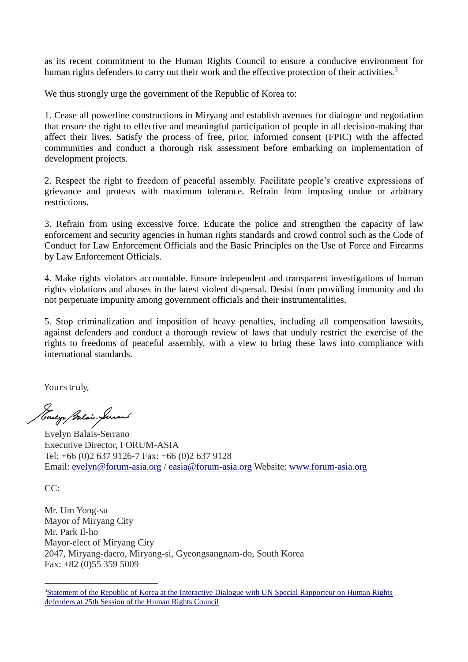as its recent commitment to the Human Rights Council to ensure a conducive environment for human rights defenders to carry out their work and the effective protection of their activities.<sup>3</sup>

We thus strongly urge the government of the Republic of Korea to:

1. Cease all powerline constructions in Miryang and establish avenues for dialogue and negotiation that ensure the right to effective and meaningful participation of people in all decision-making that affect their lives. Satisfy the process of free, prior, informed consent (FPIC) with the affected communities and conduct a thorough risk assessment before embarking on implementation of development projects.

2. Respect the right to freedom of peaceful assembly. Facilitate people's creative expressions of grievance and protests with maximum tolerance. Refrain from imposing undue or arbitrary restrictions.

3. Refrain from using excessive force. Educate the police and strengthen the capacity of law enforcement and security agencies in human rights standards and crowd control such as the Code of Conduct for Law Enforcement Officials and the Basic Principles on the Use of Force and Firearms by Law Enforcement Officials.

4. Make rights violators accountable. Ensure independent and transparent investigations of human rights violations and abuses in the latest violent dispersal. Desist from providing immunity and do not perpetuate impunity among government officials and their instrumentalities.

5. Stop criminalization and imposition of heavy penalties, including all compensation lawsuits, against defenders and conduct a thorough review of laws that unduly restrict the exercise of the rights to freedoms of peaceful assembly, with a view to bring these laws into compliance with international standards.

Yours truly,

Touryn Balais-Serrand

Evelyn Balais-Serrano Executive Director, FORUM-ASIA Tel: +66 (0)2 637 9126-7 Fax: +66 (0)2 637 9128 Email: [evelyn@forum-asia.org](mailto:evelyn@forum-asia.org) / [easia@forum-asia.org](http://www.forum-asia.org/easia@forum-asia.org) Website: [www.forum-asia.org](http://www.forum-asia.org/www.forum-asia.org)

 $CC<sup>2</sup>$ 

1

Mr. Um Yong-su Mayor of Miryang City Mr. Park Il-ho Mayor-elect of Miryang City 2047, Miryang-daero, Miryang-si, Gyeongsangnam-do, South Korea Fax: +82 (0)55 359 5009

<sup>&</sup>lt;sup>3</sup>Statement of the Republic of Korea at the Interactive Dialogue with UN Special Rapporteur on Human Rights [defenders at 25th Session of the Human Rights Council](https://extranet.ohchr.org/sites/hrc/HRCSessions/RegularSessions/25thSession/OralStatements/Republic%20of%20Korea_ID_16.pdf)